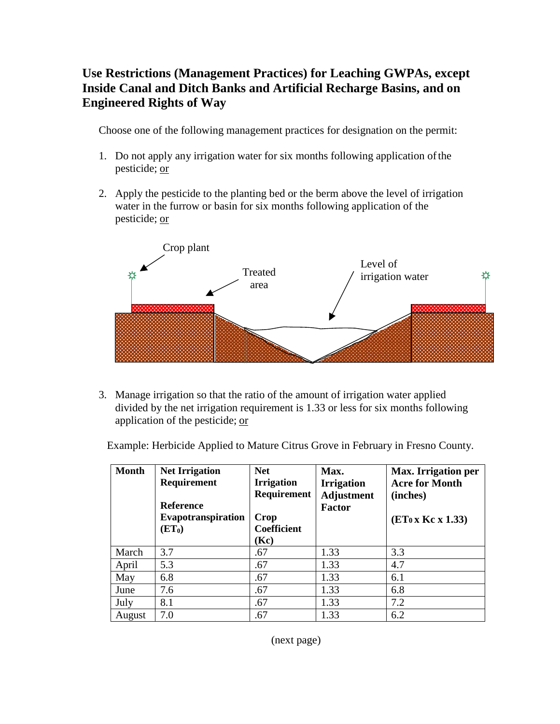## **Use Restrictions (Management Practices) for Leaching GWPAs, except Inside Canal and Ditch Banks and Artificial Recharge Basins, and on Engineered Rights of Way**

Choose one of the following management practices for designation on the permit:

- 1. Do not apply any irrigation water for six months following application of the pesticide; or
- 2. Apply the pesticide to the planting bed or the berm above the level of irrigation water in the furrow or basin for six months following application of the pesticide; or



3. Manage irrigation so that the ratio of the amount of irrigation water applied divided by the net irrigation requirement is 1.33 or less for six months following application of the pesticide; or

Example: Herbicide Applied to Mature Citrus Grove in February in Fresno County.

| <b>Month</b> | <b>Net Irrigation</b><br><b>Requirement</b><br><b>Reference</b><br>Evapotranspiration<br>(ET <sub>0</sub> ) | <b>Net</b><br><b>Irrigation</b><br>Requirement<br>Crop<br><b>Coefficient</b><br>(Kc) | Max.<br><b>Irrigation</b><br><b>Adjustment</b><br><b>Factor</b> | Max. Irrigation per<br><b>Acre for Month</b><br>(inches)<br>$(ET_0 x Kc x 1.33)$ |
|--------------|-------------------------------------------------------------------------------------------------------------|--------------------------------------------------------------------------------------|-----------------------------------------------------------------|----------------------------------------------------------------------------------|
| March        | 3.7                                                                                                         | .67                                                                                  | 1.33                                                            | 3.3                                                                              |
| April        | 5.3                                                                                                         | .67                                                                                  | 1.33                                                            | 4.7                                                                              |
| May          | 6.8                                                                                                         | .67                                                                                  | 1.33                                                            | 6.1                                                                              |
| June         | 7.6                                                                                                         | .67                                                                                  | 1.33                                                            | 6.8                                                                              |
| July         | 8.1                                                                                                         | .67                                                                                  | 1.33                                                            | 7.2                                                                              |
| August       | 7.0                                                                                                         | .67                                                                                  | 1.33                                                            | 6.2                                                                              |

(next page)